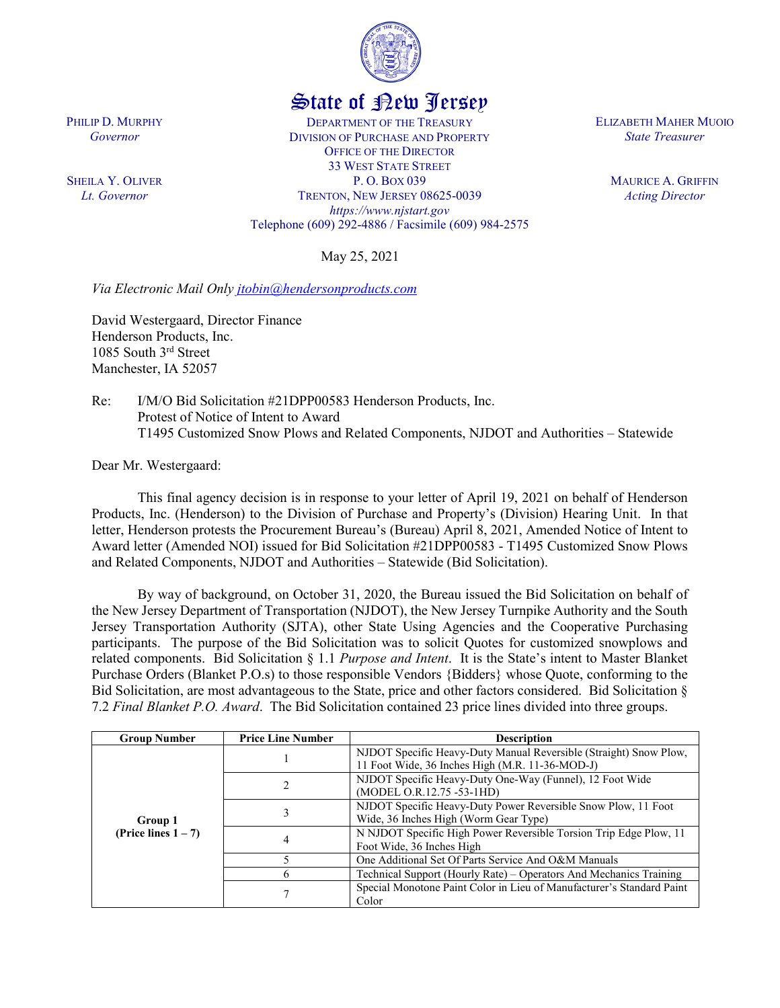

## State of New Jersey

DEPARTMENT OF THE TREASURY DIVISION OF PURCHASE AND PROPERTY OFFICE OF THE DIRECTOR 33 WEST STATE STREET P. O. BOX 039 TRENTON, NEW JERSEY 08625-0039 *https://www.njstart.gov* Telephone (609) 292-4886 / Facsimile (609) 984-2575

May 25, 2021

*Via Electronic Mail Only [jtobin@hendersonproducts.com](mailto:jtobin@hendersonproducts.com)* 

David Westergaard, Director Finance Henderson Products, Inc. 1085 South 3rd Street Manchester, IA 52057

Re: I/M/O Bid Solicitation #21DPP00583 Henderson Products, Inc. Protest of Notice of Intent to Award T1495 Customized Snow Plows and Related Components, NJDOT and Authorities – Statewide

Dear Mr. Westergaard:

This final agency decision is in response to your letter of April 19, 2021 on behalf of Henderson Products, Inc. (Henderson) to the Division of Purchase and Property's (Division) Hearing Unit. In that letter, Henderson protests the Procurement Bureau's (Bureau) April 8, 2021, Amended Notice of Intent to Award letter (Amended NOI) issued for Bid Solicitation #21DPP00583 - T1495 Customized Snow Plows and Related Components, NJDOT and Authorities – Statewide (Bid Solicitation).

By way of background, on October 31, 2020, the Bureau issued the Bid Solicitation on behalf of the New Jersey Department of Transportation (NJDOT), the New Jersey Turnpike Authority and the South Jersey Transportation Authority (SJTA), other State Using Agencies and the Cooperative Purchasing participants. The purpose of the Bid Solicitation was to solicit Quotes for customized snowplows and related components. Bid Solicitation § 1.1 *Purpose and Intent*. It is the State's intent to Master Blanket Purchase Orders (Blanket P.O.s) to those responsible Vendors {Bidders} whose Quote, conforming to the Bid Solicitation, are most advantageous to the State, price and other factors considered. Bid Solicitation § 7.2 *Final Blanket P.O. Award*. The Bid Solicitation contained 23 price lines divided into three groups.

| <b>Group Number</b>               | <b>Price Line Number</b> | <b>Description</b>                                                    |
|-----------------------------------|--------------------------|-----------------------------------------------------------------------|
| Group 1<br>(Price lines $1 - 7$ ) |                          | NJDOT Specific Heavy-Duty Manual Reversible (Straight) Snow Plow,     |
|                                   |                          | 11 Foot Wide, 36 Inches High (M.R. 11-36-MOD-J)                       |
|                                   |                          | NJDOT Specific Heavy-Duty One-Way (Funnel), 12 Foot Wide              |
|                                   |                          | (MODEL O.R.12.75 -53-1HD)                                             |
|                                   |                          | NJDOT Specific Heavy-Duty Power Reversible Snow Plow, 11 Foot         |
|                                   |                          | Wide, 36 Inches High (Worm Gear Type)                                 |
|                                   |                          | N NJDOT Specific High Power Reversible Torsion Trip Edge Plow, 11     |
|                                   |                          | Foot Wide, 36 Inches High                                             |
|                                   |                          | One Additional Set Of Parts Service And O&M Manuals                   |
|                                   |                          | Technical Support (Hourly Rate) – Operators And Mechanics Training    |
|                                   |                          | Special Monotone Paint Color in Lieu of Manufacturer's Standard Paint |
|                                   |                          | Color                                                                 |

ELIZABETH MAHER MUOIO *State Treasurer*

> MAURICE A. GRIFFIN *Acting Director*

PHILIP D. MURPHY *Governor*

SHEILA Y. OLIVER *Lt. Governor*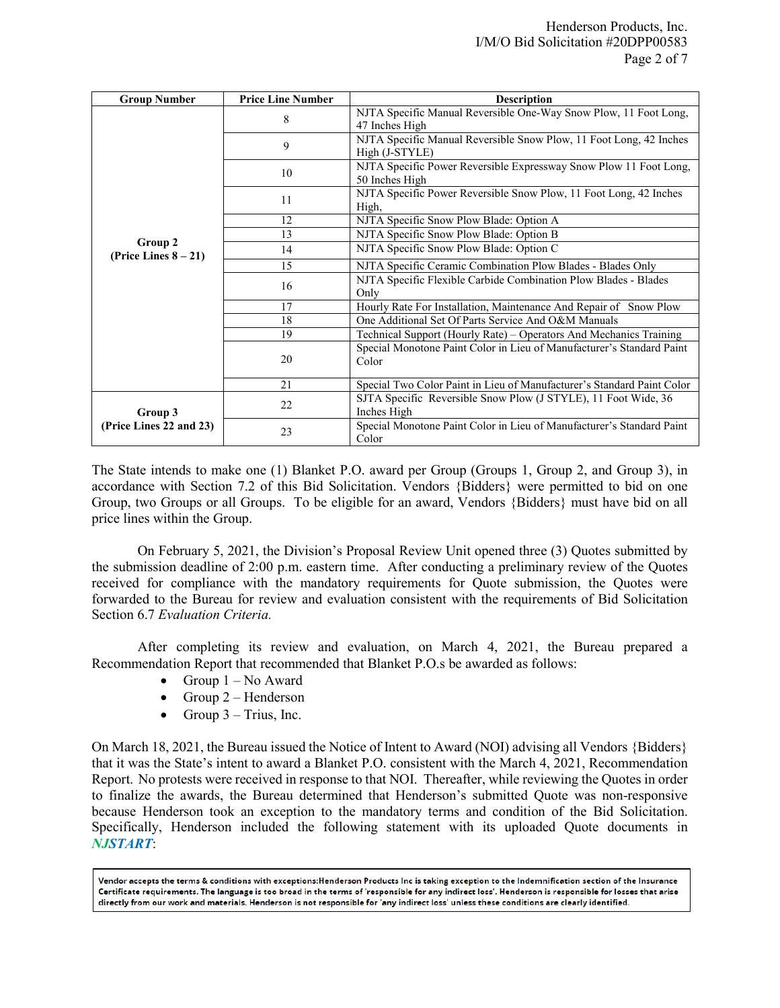| <b>Group Number</b>                | <b>Price Line Number</b> | <b>Description</b>                                                                   |
|------------------------------------|--------------------------|--------------------------------------------------------------------------------------|
| Group 2<br>(Price Lines $8-21$ )   | 8                        | NJTA Specific Manual Reversible One-Way Snow Plow, 11 Foot Long,<br>47 Inches High   |
|                                    | 9                        | NJTA Specific Manual Reversible Snow Plow, 11 Foot Long, 42 Inches<br>High (J-STYLE) |
|                                    | 10                       | NJTA Specific Power Reversible Expressway Snow Plow 11 Foot Long,<br>50 Inches High  |
|                                    | 11                       | NJTA Specific Power Reversible Snow Plow, 11 Foot Long, 42 Inches<br>High,           |
|                                    | 12                       | NJTA Specific Snow Plow Blade: Option A                                              |
|                                    | 13                       | NJTA Specific Snow Plow Blade: Option B                                              |
|                                    | 14                       | NJTA Specific Snow Plow Blade: Option C                                              |
|                                    | 15                       | NJTA Specific Ceramic Combination Plow Blades - Blades Only                          |
|                                    | 16                       | NJTA Specific Flexible Carbide Combination Plow Blades - Blades<br>Only              |
|                                    | 17                       | Hourly Rate For Installation, Maintenance And Repair of Snow Plow                    |
|                                    | 18                       | One Additional Set Of Parts Service And O&M Manuals                                  |
|                                    | 19                       | Technical Support (Hourly Rate) - Operators And Mechanics Training                   |
|                                    | 20                       | Special Monotone Paint Color in Lieu of Manufacturer's Standard Paint<br>Color       |
|                                    | 21                       | Special Two Color Paint in Lieu of Manufacturer's Standard Paint Color               |
| Group 3<br>(Price Lines 22 and 23) | 22                       | SJTA Specific Reversible Snow Plow (J STYLE), 11 Foot Wide, 36<br>Inches High        |
|                                    | 23                       | Special Monotone Paint Color in Lieu of Manufacturer's Standard Paint<br>Color       |

The State intends to make one (1) Blanket P.O. award per Group (Groups 1, Group 2, and Group 3), in accordance with Section 7.2 of this Bid Solicitation. Vendors {Bidders} were permitted to bid on one Group, two Groups or all Groups. To be eligible for an award, Vendors {Bidders} must have bid on all price lines within the Group.

On February 5, 2021, the Division's Proposal Review Unit opened three (3) Quotes submitted by the submission deadline of 2:00 p.m. eastern time. After conducting a preliminary review of the Quotes received for compliance with the mandatory requirements for Quote submission, the Quotes were forwarded to the Bureau for review and evaluation consistent with the requirements of Bid Solicitation Section 6.7 *Evaluation Criteria.*

After completing its review and evaluation, on March 4, 2021, the Bureau prepared a Recommendation Report that recommended that Blanket P.O.s be awarded as follows:

- Group  $1 No$  Award
- Group  $2$  Henderson
- Group  $3 -$  Trius, Inc.

On March 18, 2021, the Bureau issued the Notice of Intent to Award (NOI) advising all Vendors {Bidders} that it was the State's intent to award a Blanket P.O. consistent with the March 4, 2021, Recommendation Report. No protests were received in response to that NOI. Thereafter, while reviewing the Quotes in order to finalize the awards, the Bureau determined that Henderson's submitted Quote was non-responsive because Henderson took an exception to the mandatory terms and condition of the Bid Solicitation. Specifically, Henderson included the following statement with its uploaded Quote documents in *NJSTART*:

Vendor accepts the terms & conditions with exceptions:Henderson Products Inc is taking exception to the Indemnification section of the Insurance Certificate requirements. The language is too broad in the terms of 'responsible for any indirect loss'. Henderson is responsible for losses that arise directly from our work and materials. Henderson is not responsible for 'any indirect loss' unless these conditions are clearly identified.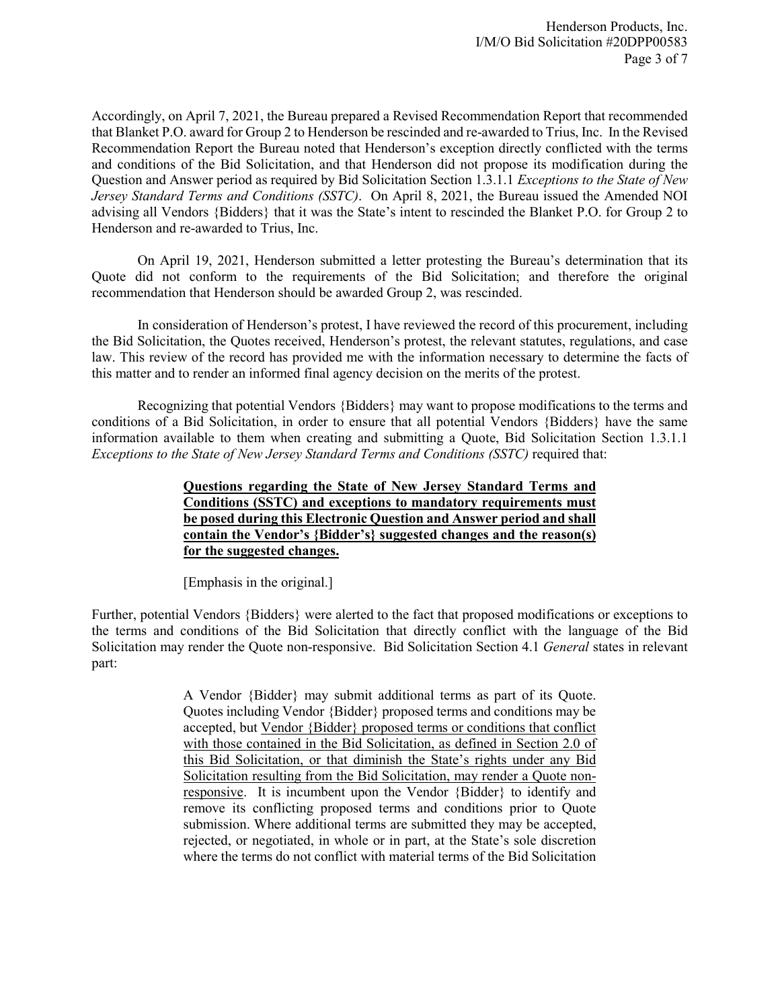Accordingly, on April 7, 2021, the Bureau prepared a Revised Recommendation Report that recommended that Blanket P.O. award for Group 2 to Henderson be rescinded and re-awarded to Trius, Inc. In the Revised Recommendation Report the Bureau noted that Henderson's exception directly conflicted with the terms and conditions of the Bid Solicitation, and that Henderson did not propose its modification during the Question and Answer period as required by Bid Solicitation Section 1.3.1.1 *Exceptions to the State of New Jersey Standard Terms and Conditions (SSTC)*. On April 8, 2021, the Bureau issued the Amended NOI advising all Vendors {Bidders} that it was the State's intent to rescinded the Blanket P.O. for Group 2 to Henderson and re-awarded to Trius, Inc.

On April 19, 2021, Henderson submitted a letter protesting the Bureau's determination that its Quote did not conform to the requirements of the Bid Solicitation; and therefore the original recommendation that Henderson should be awarded Group 2, was rescinded.

In consideration of Henderson's protest, I have reviewed the record of this procurement, including the Bid Solicitation, the Quotes received, Henderson's protest, the relevant statutes, regulations, and case law. This review of the record has provided me with the information necessary to determine the facts of this matter and to render an informed final agency decision on the merits of the protest.

Recognizing that potential Vendors {Bidders} may want to propose modifications to the terms and conditions of a Bid Solicitation, in order to ensure that all potential Vendors {Bidders} have the same information available to them when creating and submitting a Quote, Bid Solicitation Section 1.3.1.1 *Exceptions to the State of New Jersey Standard Terms and Conditions (SSTC)* required that:

> **Questions regarding the State of New Jersey Standard Terms and Conditions (SSTC) and exceptions to mandatory requirements must be posed during this Electronic Question and Answer period and shall contain the Vendor's {Bidder's} suggested changes and the reason(s) for the suggested changes.**

[Emphasis in the original.]

Further, potential Vendors {Bidders} were alerted to the fact that proposed modifications or exceptions to the terms and conditions of the Bid Solicitation that directly conflict with the language of the Bid Solicitation may render the Quote non-responsive. Bid Solicitation Section 4.1 *General* states in relevant part:

> A Vendor {Bidder} may submit additional terms as part of its Quote. Quotes including Vendor {Bidder} proposed terms and conditions may be accepted, but Vendor {Bidder} proposed terms or conditions that conflict with those contained in the Bid Solicitation, as defined in Section 2.0 of this Bid Solicitation, or that diminish the State's rights under any Bid Solicitation resulting from the Bid Solicitation, may render a Quote nonresponsive. It is incumbent upon the Vendor {Bidder} to identify and remove its conflicting proposed terms and conditions prior to Quote submission. Where additional terms are submitted they may be accepted, rejected, or negotiated, in whole or in part, at the State's sole discretion where the terms do not conflict with material terms of the Bid Solicitation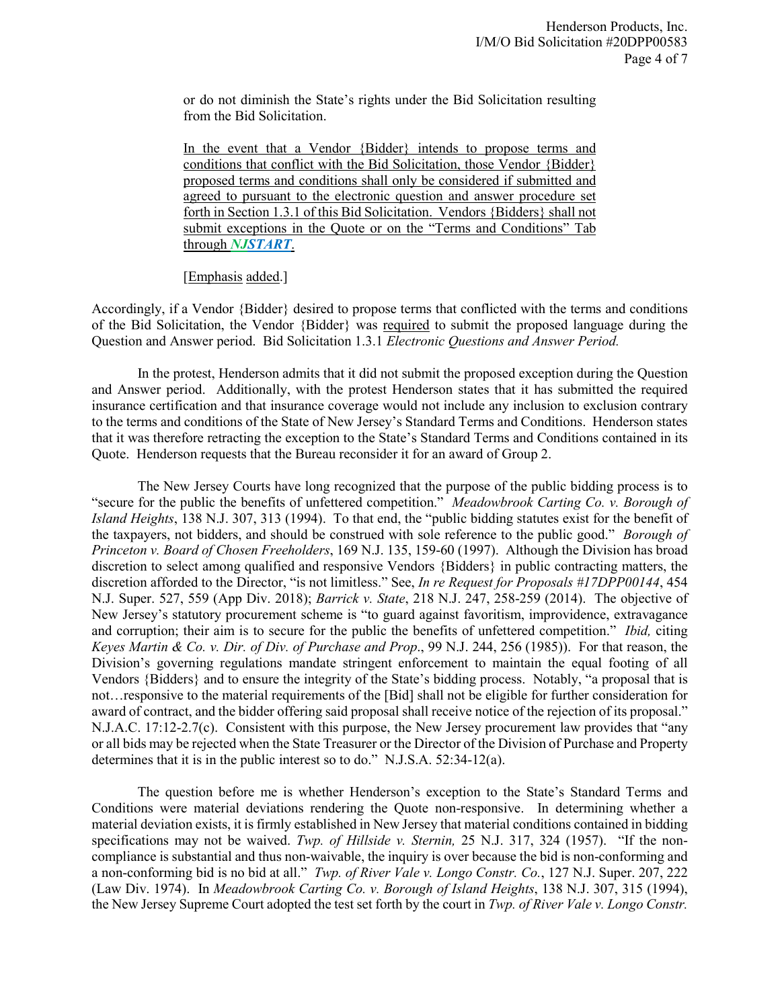or do not diminish the State's rights under the Bid Solicitation resulting from the Bid Solicitation.

In the event that a Vendor {Bidder} intends to propose terms and conditions that conflict with the Bid Solicitation, those Vendor {Bidder} proposed terms and conditions shall only be considered if submitted and agreed to pursuant to the electronic question and answer procedure set forth in Section 1.3.1 of this Bid Solicitation. Vendors {Bidders} shall not submit exceptions in the Quote or on the "Terms and Conditions" Tab through *NJSTART*.

[Emphasis added.]

Accordingly, if a Vendor {Bidder} desired to propose terms that conflicted with the terms and conditions of the Bid Solicitation, the Vendor {Bidder} was required to submit the proposed language during the Question and Answer period. Bid Solicitation 1.3.1 *Electronic Questions and Answer Period.* 

In the protest, Henderson admits that it did not submit the proposed exception during the Question and Answer period. Additionally, with the protest Henderson states that it has submitted the required insurance certification and that insurance coverage would not include any inclusion to exclusion contrary to the terms and conditions of the State of New Jersey's Standard Terms and Conditions. Henderson states that it was therefore retracting the exception to the State's Standard Terms and Conditions contained in its Quote. Henderson requests that the Bureau reconsider it for an award of Group 2.

The New Jersey Courts have long recognized that the purpose of the public bidding process is to "secure for the public the benefits of unfettered competition." *Meadowbrook Carting Co. v. Borough of Island Heights*, 138 N.J. 307, 313 (1994). To that end, the "public bidding statutes exist for the benefit of the taxpayers, not bidders, and should be construed with sole reference to the public good." *Borough of Princeton v. Board of Chosen Freeholders*, 169 N.J. 135, 159-60 (1997). Although the Division has broad discretion to select among qualified and responsive Vendors {Bidders} in public contracting matters, the discretion afforded to the Director, "is not limitless." See, *In re Request for Proposals #17DPP00144*, 454 N.J. Super. 527, 559 (App Div. 2018); *Barrick v. State*, 218 N.J. 247, 258-259 (2014). The objective of New Jersey's statutory procurement scheme is "to guard against favoritism, improvidence, extravagance and corruption; their aim is to secure for the public the benefits of unfettered competition." *Ibid,* citing *Keyes Martin & Co. v. Dir. of Div. of Purchase and Prop*., 99 N.J. 244, 256 (1985)). For that reason, the Division's governing regulations mandate stringent enforcement to maintain the equal footing of all Vendors {Bidders} and to ensure the integrity of the State's bidding process. Notably, "a proposal that is not…responsive to the material requirements of the [Bid] shall not be eligible for further consideration for award of contract, and the bidder offering said proposal shall receive notice of the rejection of its proposal." N.J.A.C. 17:12-2.7(c). Consistent with this purpose, the New Jersey procurement law provides that "any or all bids may be rejected when the State Treasurer or the Director of the Division of Purchase and Property determines that it is in the public interest so to do." N.J.S.A. 52:34-12(a).

The question before me is whether Henderson's exception to the State's Standard Terms and Conditions were material deviations rendering the Quote non-responsive. In determining whether a material deviation exists, it is firmly established in New Jersey that material conditions contained in bidding specifications may not be waived. *Twp. of Hillside v. Sternin,* 25 N.J. 317, 324 (1957). "If the noncompliance is substantial and thus non-waivable, the inquiry is over because the bid is non-conforming and a non-conforming bid is no bid at all." *Twp. of River Vale v. Longo Constr. Co.*, 127 N.J. Super. 207, 222 (Law Div. 1974). In *Meadowbrook Carting Co. v. Borough of Island Heights*, 138 N.J. 307, 315 (1994), the New Jersey Supreme Court adopted the test set forth by the court in *Twp. of River Vale v. Longo Constr.*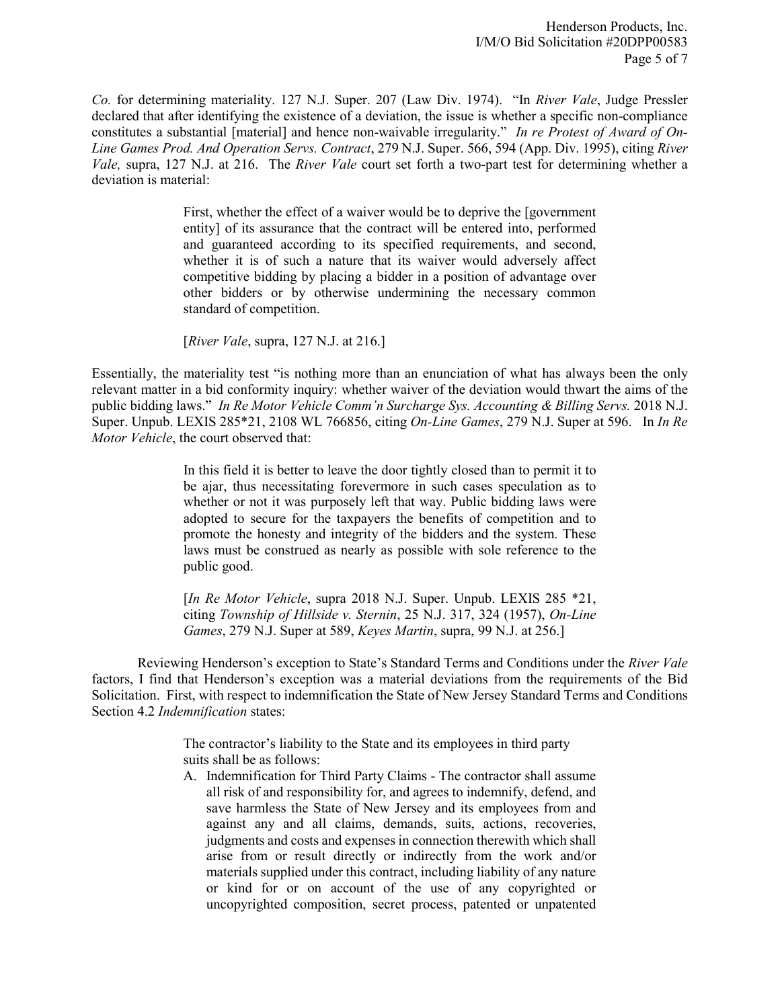*Co.* for determining materiality. 127 N.J. Super. 207 (Law Div. 1974). "In *River Vale*, Judge Pressler declared that after identifying the existence of a deviation, the issue is whether a specific non-compliance constitutes a substantial [material] and hence non-waivable irregularity." *In re Protest of Award of On-Line Games Prod. And Operation Servs. Contract*, 279 N.J. Super. 566, 594 (App. Div. 1995), citing *River Vale,* supra, 127 N.J. at 216. The *River Vale* court set forth a two-part test for determining whether a deviation is material:

> First, whether the effect of a waiver would be to deprive the [government entity] of its assurance that the contract will be entered into, performed and guaranteed according to its specified requirements, and second, whether it is of such a nature that its waiver would adversely affect competitive bidding by placing a bidder in a position of advantage over other bidders or by otherwise undermining the necessary common standard of competition.

[*River Vale*, supra, 127 N.J. at 216.]

Essentially, the materiality test "is nothing more than an enunciation of what has always been the only relevant matter in a bid conformity inquiry: whether waiver of the deviation would thwart the aims of the public bidding laws." *In Re Motor Vehicle Comm'n Surcharge Sys. Accounting & Billing Servs.* 2018 N.J. Super. Unpub. LEXIS 285\*21, 2108 WL 766856, citing *On-Line Games*, 279 N.J. Super at 596. In *In Re Motor Vehicle*, the court observed that:

> In this field it is better to leave the door tightly closed than to permit it to be ajar, thus necessitating forevermore in such cases speculation as to whether or not it was purposely left that way. Public bidding laws were adopted to secure for the taxpayers the benefits of competition and to promote the honesty and integrity of the bidders and the system. These laws must be construed as nearly as possible with sole reference to the public good.

> [*In Re Motor Vehicle*, supra 2018 N.J. Super. Unpub. LEXIS 285 \*21, citing *Township of Hillside v. Sternin*, 25 N.J. 317, 324 (1957), *On-Line Games*, 279 N.J. Super at 589, *Keyes Martin*, supra, 99 N.J. at 256.]

Reviewing Henderson's exception to State's Standard Terms and Conditions under the *River Vale* factors, I find that Henderson's exception was a material deviations from the requirements of the Bid Solicitation. First, with respect to indemnification the State of New Jersey Standard Terms and Conditions Section 4.2 *Indemnification* states:

> The contractor's liability to the State and its employees in third party suits shall be as follows:

A. Indemnification for Third Party Claims - The contractor shall assume all risk of and responsibility for, and agrees to indemnify, defend, and save harmless the State of New Jersey and its employees from and against any and all claims, demands, suits, actions, recoveries, judgments and costs and expenses in connection therewith which shall arise from or result directly or indirectly from the work and/or materials supplied under this contract, including liability of any nature or kind for or on account of the use of any copyrighted or uncopyrighted composition, secret process, patented or unpatented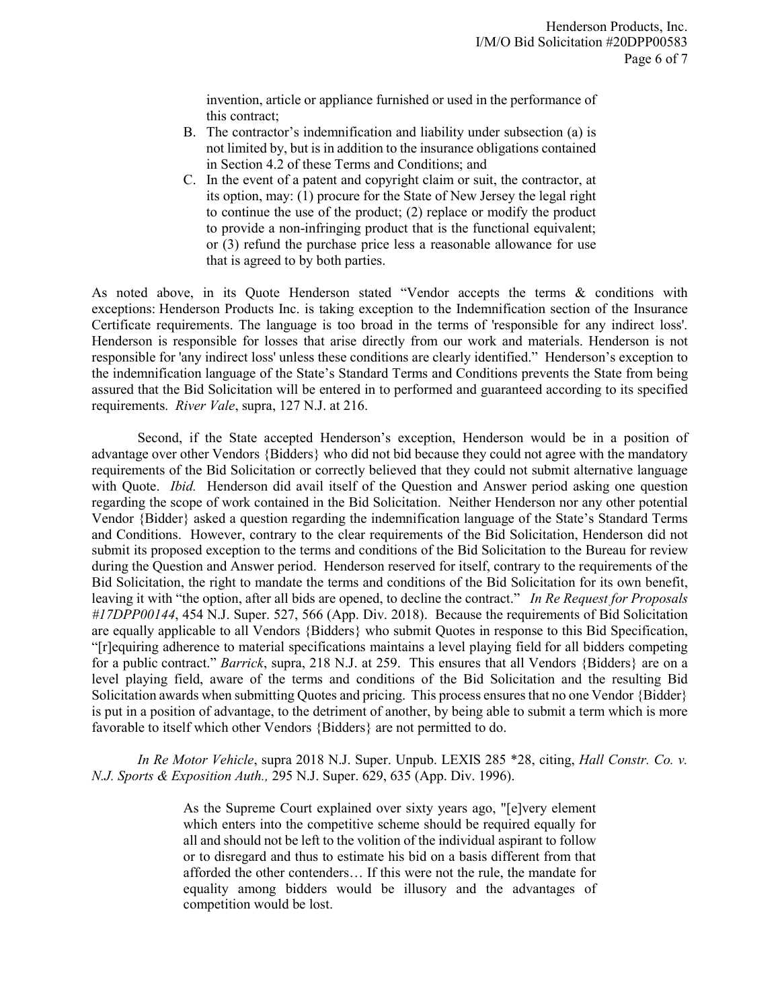invention, article or appliance furnished or used in the performance of this contract;

- B. The contractor's indemnification and liability under subsection (a) is not limited by, but is in addition to the insurance obligations contained in Section 4.2 of these Terms and Conditions; and
- C. In the event of a patent and copyright claim or suit, the contractor, at its option, may: (1) procure for the State of New Jersey the legal right to continue the use of the product; (2) replace or modify the product to provide a non-infringing product that is the functional equivalent; or (3) refund the purchase price less a reasonable allowance for use that is agreed to by both parties.

As noted above, in its Quote Henderson stated "Vendor accepts the terms & conditions with exceptions: Henderson Products Inc. is taking exception to the Indemnification section of the Insurance Certificate requirements. The language is too broad in the terms of 'responsible for any indirect loss'. Henderson is responsible for losses that arise directly from our work and materials. Henderson is not responsible for 'any indirect loss' unless these conditions are clearly identified." Henderson's exception to the indemnification language of the State's Standard Terms and Conditions prevents the State from being assured that the Bid Solicitation will be entered in to performed and guaranteed according to its specified requirements. *River Vale*, supra, 127 N.J. at 216.

Second, if the State accepted Henderson's exception, Henderson would be in a position of advantage over other Vendors {Bidders} who did not bid because they could not agree with the mandatory requirements of the Bid Solicitation or correctly believed that they could not submit alternative language with Quote. *Ibid.* Henderson did avail itself of the Question and Answer period asking one question regarding the scope of work contained in the Bid Solicitation. Neither Henderson nor any other potential Vendor {Bidder} asked a question regarding the indemnification language of the State's Standard Terms and Conditions. However, contrary to the clear requirements of the Bid Solicitation, Henderson did not submit its proposed exception to the terms and conditions of the Bid Solicitation to the Bureau for review during the Question and Answer period. Henderson reserved for itself, contrary to the requirements of the Bid Solicitation, the right to mandate the terms and conditions of the Bid Solicitation for its own benefit, leaving it with "the option, after all bids are opened, to decline the contract." *In Re Request for Proposals #17DPP00144*, 454 N.J. Super. 527, 566 (App. Div. 2018). Because the requirements of Bid Solicitation are equally applicable to all Vendors {Bidders} who submit Quotes in response to this Bid Specification, "[r]equiring adherence to material specifications maintains a level playing field for all bidders competing for a public contract." *Barrick*, supra, 218 N.J. at 259. This ensures that all Vendors {Bidders} are on a level playing field, aware of the terms and conditions of the Bid Solicitation and the resulting Bid Solicitation awards when submitting Quotes and pricing. This process ensures that no one Vendor {Bidder} is put in a position of advantage, to the detriment of another, by being able to submit a term which is more favorable to itself which other Vendors {Bidders} are not permitted to do.

*In Re Motor Vehicle*, supra 2018 N.J. Super. Unpub. LEXIS 285 \*28, citing, *Hall Constr. Co. v. N.J. Sports & Exposition Auth.,* 295 N.J. Super. 629, 635 (App. Div. 1996).

> As the Supreme Court explained over sixty years ago, "[e]very element which enters into the competitive scheme should be required equally for all and should not be left to the volition of the individual aspirant to follow or to disregard and thus to estimate his bid on a basis different from that afforded the other contenders… If this were not the rule, the mandate for equality among bidders would be illusory and the advantages of competition would be lost.